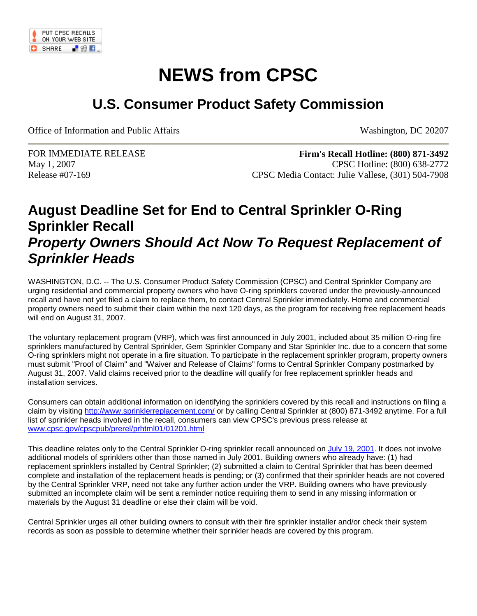

## **NEWS from CPSC**

## **U.S. Consumer Product Safety Commission**

Office of Information and Public Affairs Washington, DC 20207

FOR IMMEDIATE RELEASE May 1, 2007 Release #07-169

**Firm's Recall Hotline: (800) 871-3492** CPSC Hotline: (800) 638-2772 CPSC Media Contact: Julie Vallese, (301) 504-7908

## **August Deadline Set for End to Central Sprinkler O-Ring Sprinkler Recall** *Property Owners Should Act Now To Request Replacement of Sprinkler Heads*

WASHINGTON, D.C. -- The U.S. Consumer Product Safety Commission (CPSC) and Central Sprinkler Company are urging residential and commercial property owners who have O-ring sprinklers covered under the previously-announced recall and have not yet filed a claim to replace them, to contact Central Sprinkler immediately. Home and commercial property owners need to submit their claim within the next 120 days, as the program for receiving free replacement heads will end on August 31, 2007.

The voluntary replacement program (VRP), which was first announced in July 2001, included about 35 million O-ring fire sprinklers manufactured by Central Sprinkler, Gem Sprinkler Company and Star Sprinkler Inc. due to a concern that some O-ring sprinklers might not operate in a fire situation. To participate in the replacement sprinkler program, property owners must submit "Proof of Claim" and "Waiver and Release of Claims" forms to Central Sprinkler Company postmarked by August 31, 2007. Valid claims received prior to the deadline will qualify for free replacement sprinkler heads and installation services.

Consumers can obtain additional information on identifying the sprinklers covered by this recall and instructions on filing a claim by visiting<http://www.sprinklerreplacement.com/> or by calling Central Sprinkler at (800) 871-3492 anytime. For a full list of sprinkler heads involved in the recall, consumers can view CPSC's previous press release at [www.cpsc.gov/cpscpub/prerel/prhtml01/01201.html](http://www.cpsc.gov/cpscpub/prerel/prhtml01/01201.html)

This deadline relates only to the Central Sprinkler O-ring sprinkler recall announced on [July 19, 2001.](http://www.cpsc.gov/cpscpub/prerel/prhtml01/01201.html) It does not involve additional models of sprinklers other than those named in July 2001. Building owners who already have: (1) had replacement sprinklers installed by Central Sprinkler; (2) submitted a claim to Central Sprinkler that has been deemed complete and installation of the replacement heads is pending; or (3) confirmed that their sprinkler heads are not covered by the Central Sprinkler VRP, need not take any further action under the VRP. Building owners who have previously submitted an incomplete claim will be sent a reminder notice requiring them to send in any missing information or materials by the August 31 deadline or else their claim will be void.

Central Sprinkler urges all other building owners to consult with their fire sprinkler installer and/or check their system records as soon as possible to determine whether their sprinkler heads are covered by this program.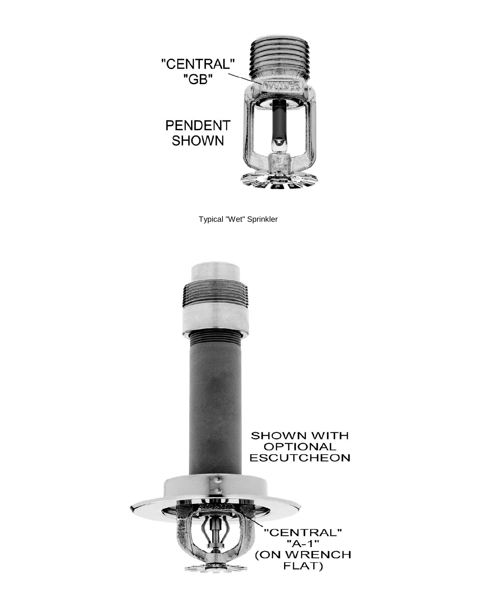

Typical "Wet" Sprinkler